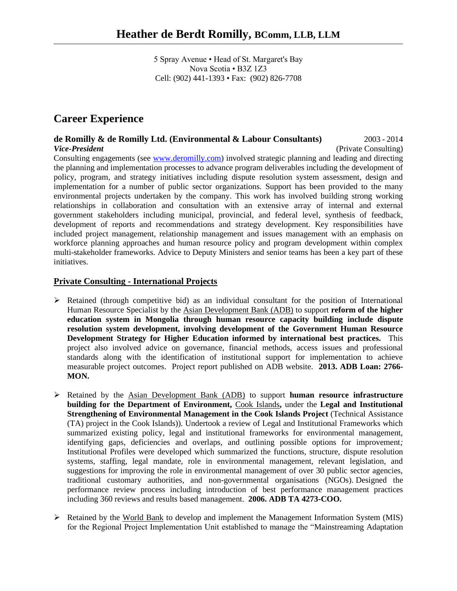5 Spray Avenue • Head of St. Margaret's Bay Nova Scotia • B3Z 1Z3 Cell: (902) 441-1393 • Fax: (902) 826-7708

# **Career Experience**

#### **de Romilly & de Romilly Ltd. (Environmental & Labour Consultants)** 2003 - 2014 *Vice-President* (Private Consulting)

Consulting engagements (see [www.deromilly.com\)](http://www.deromilly.com/) involved strategic planning and leading and directing the planning and implementation processes to advance program deliverables including the development of policy, program, and strategy initiatives including dispute resolution system assessment, design and implementation for a number of public sector organizations. Support has been provided to the many environmental projects undertaken by the company. This work has involved building strong working relationships in collaboration and consultation with an extensive array of internal and external government stakeholders including municipal, provincial, and federal level, synthesis of feedback, development of reports and recommendations and strategy development. Key responsibilities have included project management, relationship management and issues management with an emphasis on workforce planning approaches and human resource policy and program development within complex multi-stakeholder frameworks. Advice to Deputy Ministers and senior teams has been a key part of these initiatives.

## **Private Consulting - International Projects**

- $\triangleright$  Retained (through competitive bid) as an individual consultant for the position of International Human Resource Specialist by the Asian Development Bank (ADB) to support **reform of the higher education system in Mongolia through human resource capacity building include dispute resolution system development, involving development of the Government Human Resource Development Strategy for Higher Education informed by international best practices.** This project also involved advice on governance, financial methods, access issues and professional standards along with the identification of institutional support for implementation to achieve measurable project outcomes. Project report published on ADB website. **2013. ADB Loan: 2766- MON.**
- ➢ Retained by the Asian Development Bank (ADB) to support **human resource infrastructure building for the Department of Environment,** Cook Islands**,** under the **Legal and Institutional Strengthening of Environmental Management in the Cook Islands Project** (Technical Assistance (TA) project in the Cook Islands)). Undertook a review of Legal and Institutional Frameworks which summarized existing policy, legal and institutional frameworks for environmental management, identifying gaps, deficiencies and overlaps, and outlining possible options for improvement*;*  Institutional Profiles were developed which summarized the functions, structure, dispute resolution systems, staffing, legal mandate, role in environmental management, relevant legislation, and suggestions for improving the role in environmental management of over 30 public sector agencies, traditional customary authorities, and non-governmental organisations (NGOs). Designed the performance review process including introduction of best performance management practices including 360 reviews and results based management. **2006. ADB TA 4273-COO.**
- ➢ Retained by the World Bank to develop and implement the Management Information System (MIS) for the Regional Project Implementation Unit established to manage the "Mainstreaming Adaptation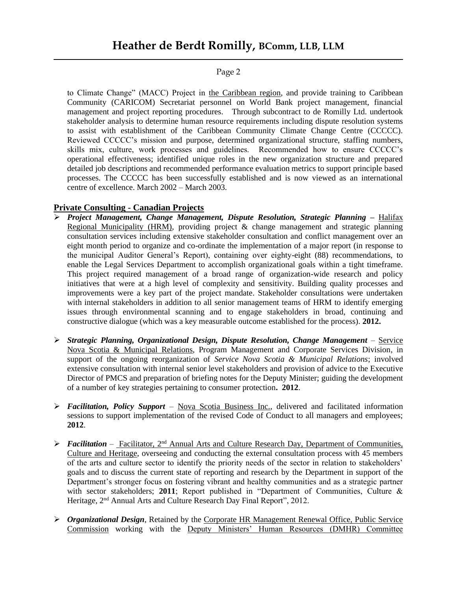to Climate Change" (MACC) Project in the Caribbean region, and provide training to Caribbean Community (CARICOM) Secretariat personnel on World Bank project management, financial management and project reporting procedures. Through subcontract to de Romilly Ltd. undertook stakeholder analysis to determine human resource requirements including dispute resolution systems to assist with establishment of the Caribbean Community Climate Change Centre (CCCCC). Reviewed CCCCC's mission and purpose, determined organizational structure, staffing numbers, skills mix, culture, work processes and guidelines. Recommended how to ensure CCCCC's operational effectiveness; identified unique roles in the new organization structure and prepared detailed job descriptions and recommended performance evaluation metrics to support principle based processes. The CCCCC has been successfully established and is now viewed as an international centre of excellence. March 2002 – March 2003.

## **Private Consulting - Canadian Projects**

- ➢ *Project Management, Change Management, Dispute Resolution, Strategic Planning* **–** Halifax Regional Municipality (HRM), providing project & change management and strategic planning consultation services including extensive stakeholder consultation and conflict management over an eight month period to organize and co-ordinate the implementation of a major report (in response to the municipal Auditor General's Report), containing over eighty-eight (88) recommendations, to enable the Legal Services Department to accomplish organizational goals within a tight timeframe. This project required management of a broad range of organization-wide research and policy initiatives that were at a high level of complexity and sensitivity. Building quality processes and improvements were a key part of the project mandate. Stakeholder consultations were undertaken with internal stakeholders in addition to all senior management teams of HRM to identify emerging issues through environmental scanning and to engage stakeholders in broad, continuing and constructive dialogue (which was a key measurable outcome established for the process). **2012.**
- ➢ *Strategic Planning, Organizational Design, Dispute Resolution, Change Management*  Service Nova Scotia & Municipal Relations, Program Management and Corporate Services Division, in support of the ongoing reorganization of *Service Nova Scotia & Municipal Relations*; involved extensive consultation with internal senior level stakeholders and provision of advice to the Executive Director of PMCS and preparation of briefing notes for the Deputy Minister; guiding the development of a number of key strategies pertaining to consumer protection**. 2012**.
- ➢ *Facilitation, Policy Support* Nova Scotia Business Inc., delivered and facilitated information sessions to support implementation of the revised Code of Conduct to all managers and employees; **2012**.
- ➢ *Facilitation* Facilitator, 2nd Annual Arts and Culture Research Day, Department of Communities, Culture and Heritage, overseeing and conducting the external consultation process with 45 members of the arts and culture sector to identify the priority needs of the sector in relation to stakeholders' goals and to discuss the current state of reporting and research by the Department in support of the Department's stronger focus on fostering vibrant and healthy communities and as a strategic partner with sector stakeholders; **2011**; Report published in "Department of Communities, Culture & Heritage, 2<sup>nd</sup> Annual Arts and Culture Research Day Final Report", 2012.
- ➢ *Organizational Design*, Retained by the Corporate HR Management Renewal Office, Public Service Commission working with the Deputy Ministers' Human Resources (DMHR) Committee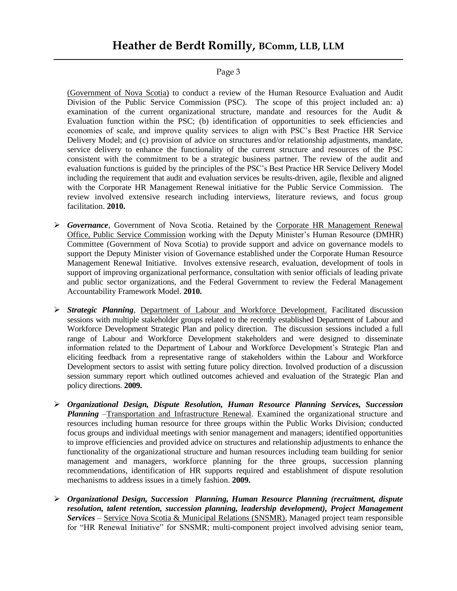(Government of Nova Scotia) to conduct a review of the Human Resource Evaluation and Audit Division of the Public Service Commission (PSC). The scope of this project included an: a) examination of the current organizational structure, mandate and resources for the Audit & Evaluation function within the PSC; (b) identification of opportunities to seek efficiencies and economies of scale, and improve quality services to align with PSC's Best Practice HR Service Delivery Model; and (c) provision of advice on structures and/or relationship adjustments, mandate, service delivery to enhance the functionality of the current structure and resources of the PSC consistent with the commitment to be a strategic business partner. The review of the audit and evaluation functions is guided by the principles of the PSC's Best Practice HR Service Delivery Model including the requirement that audit and evaluation services be results-driven, agile, flexible and aligned with the Corporate HR Management Renewal initiative for the Public Service Commission. The review involved extensive research including interviews, literature reviews, and focus group facilitation. **2010.** 

- ➢ *Governance*, Government of Nova Scotia. Retained by the Corporate HR Management Renewal Office, Public Service Commission working with the Deputy Minister's Human Resource (DMHR) Committee (Government of Nova Scotia) to provide support and advice on governance models to support the Deputy Minister vision of Governance established under the Corporate Human Resource Management Renewal Initiative. Involves extensive research, evaluation, development of tools in support of improving organizational performance, consultation with senior officials of leading private and public sector organizations, and the Federal Government to review the Federal Management Accountability Framework Model. **2010.**
- ➢ *Strategic Planning*, Department of Labour and Workforce Development. Facilitated discussion sessions with multiple stakeholder groups related to the recently established Department of Labour and Workforce Development Strategic Plan and policy direction. The discussion sessions included a full range of Labour and Workforce Development stakeholders and were designed to disseminate information related to the Department of Labour and Workforce Development's Strategic Plan and eliciting feedback from a representative range of stakeholders within the Labour and Workforce Development sectors to assist with setting future policy direction. Involved production of a discussion session summary report which outlined outcomes achieved and evaluation of the Strategic Plan and policy directions. **2009.**
- ➢ *Organizational Design, Dispute Resolution, Human Resource Planning Services, Succession Planning* –Transportation and Infrastructure Renewal. Examined the organizational structure and resources including human resource for three groups within the Public Works Division; conducted focus groups and individual meetings with senior management and managers; identified opportunities to improve efficiencies and provided advice on structures and relationship adjustments to enhance the functionality of the organizational structure and human resources including team building for senior management and managers, workforce planning for the three groups, succession planning recommendations, identification of HR supports required and establishment of dispute resolution mechanisms to address issues in a timely fashion. **2009.**
- ➢ *Organizational Design, Succession Planning, Human Resource Planning (recruitment, dispute resolution, talent retention, succession planning, leadership development), Project Management Services* – Service Nova Scotia & Municipal Relations (SNSMR), Managed project team responsible for "HR Renewal Initiative" for SNSMR; multi-component project involved advising senior team,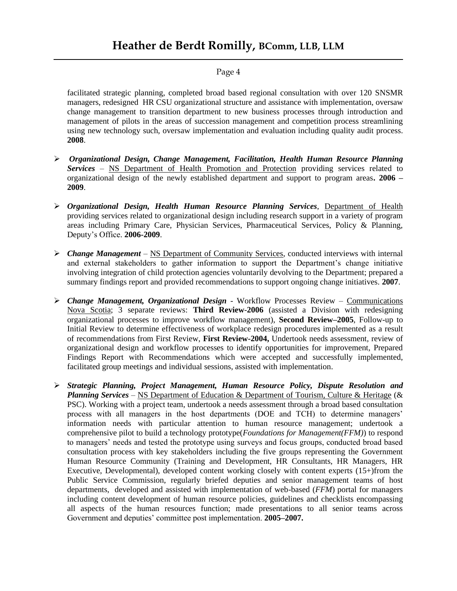facilitated strategic planning, completed broad based regional consultation with over 120 SNSMR managers, redesigned HR CSU organizational structure and assistance with implementation, oversaw change management to transition department to new business processes through introduction and management of pilots in the areas of succession management and competition process streamlining using new technology such, oversaw implementation and evaluation including quality audit process. **2008**.

- ➢ *Organizational Design, Change Management, Facilitation, Health Human Resource Planning Services* – NS Department of Health Promotion and Protection providing services related to organizational design of the newly established department and support to program areas**. 2006 – 2009**.
- ➢ *Organizational Design, Health Human Resource Planning Services*, Department of Health providing services related to organizational design including research support in a variety of program areas including Primary Care, Physician Services, Pharmaceutical Services, Policy & Planning, Deputy's Office. **2006-2009**.
- ➢ *Change Management* NS Department of Community Services, conducted interviews with internal and external stakeholders to gather information to support the Department's change initiative involving integration of child protection agencies voluntarily devolving to the Department; prepared a summary findings report and provided recommendations to support ongoing change initiatives. **2007**.
- ➢ *Change Management, Organizational Design* Workflow Processes Review Communications Nova Scotia; 3 separate reviews: **Third Review**-**2006** (assisted a Division with redesigning organizational processes to improve workflow management), **Second Review–2005**, Follow-up to Initial Review to determine effectiveness of workplace redesign procedures implemented as a result of recommendations from First Review, **First Review-2004,** Undertook needs assessment, review of organizational design and workflow processes to identify opportunities for improvement, Prepared Findings Report with Recommendations which were accepted and successfully implemented, facilitated group meetings and individual sessions, assisted with implementation.
- ➢ *Strategic Planning, Project Management, Human Resource Policy, Dispute Resolution and Planning Services* – NS Department of Education & Department of Tourism, Culture & Heritage (& PSC). Working with a project team, undertook a needs assessment through a broad based consultation process with all managers in the host departments (DOE and TCH) to determine managers' information needs with particular attention to human resource management; undertook a comprehensive pilot to build a technology prototype(*Foundations for Management(FFM)*) to respond to managers' needs and tested the prototype using surveys and focus groups, conducted broad based consultation process with key stakeholders including the five groups representing the Government Human Resource Community (Training and Development, HR Consultants, HR Managers, HR Executive, Developmental), developed content working closely with content experts (15+)from the Public Service Commission, regularly briefed deputies and senior management teams of host departments, developed and assisted with implementation of web-based (*FFM*) portal for managers including content development of human resource policies, guidelines and checklists encompassing all aspects of the human resources function; made presentations to all senior teams across Government and deputies' committee post implementation. **2005–2007.**